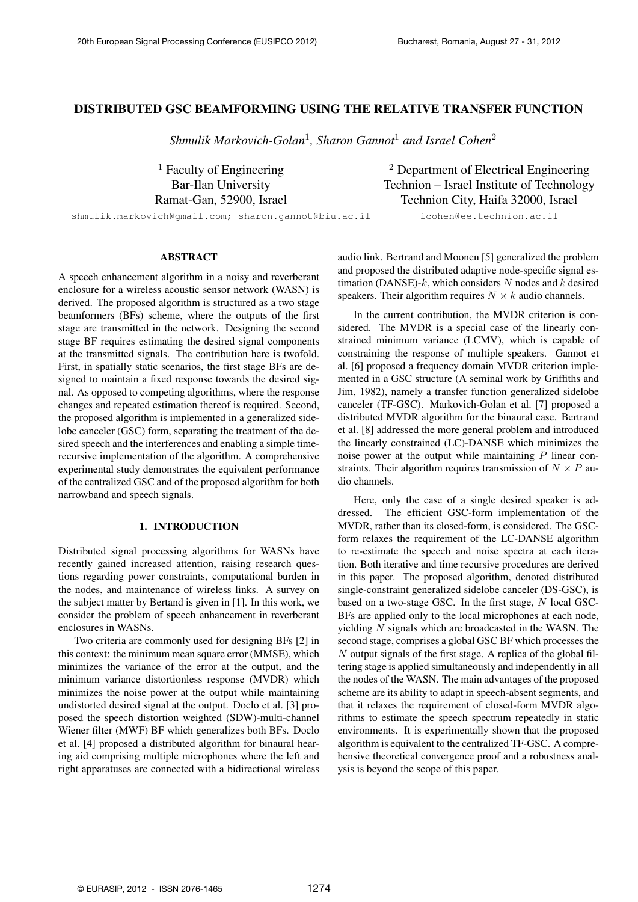# DISTRIBUTED GSC BEAMFORMING USING THE RELATIVE TRANSFER FUNCTION

*Shmulik Markovich-Golan*<sup>1</sup> *, Sharon Gannot*<sup>1</sup> *and Israel Cohen*<sup>2</sup>

 $1$  Faculty of Engineering  $2$  Department of Electrical Engineering Bar-Ilan University Technion – Israel Institute of Technology Ramat-Gan, 52900, Israel Technion City, Haifa 32000, Israel

shmulik.markovich@gmail.com; sharon.gannot@biu.ac.il icohen@ee.technion.ac.il

# ABSTRACT

A speech enhancement algorithm in a noisy and reverberant enclosure for a wireless acoustic sensor network (WASN) is derived. The proposed algorithm is structured as a two stage beamformers (BFs) scheme, where the outputs of the first stage are transmitted in the network. Designing the second stage BF requires estimating the desired signal components at the transmitted signals. The contribution here is twofold. First, in spatially static scenarios, the first stage BFs are designed to maintain a fixed response towards the desired signal. As opposed to competing algorithms, where the response changes and repeated estimation thereof is required. Second, the proposed algorithm is implemented in a generalized sidelobe canceler (GSC) form, separating the treatment of the desired speech and the interferences and enabling a simple timerecursive implementation of the algorithm. A comprehensive experimental study demonstrates the equivalent performance of the centralized GSC and of the proposed algorithm for both narrowband and speech signals.

#### 1. INTRODUCTION

Distributed signal processing algorithms for WASNs have recently gained increased attention, raising research questions regarding power constraints, computational burden in the nodes, and maintenance of wireless links. A survey on the subject matter by Bertand is given in [1]. In this work, we consider the problem of speech enhancement in reverberant enclosures in WASNs.

Two criteria are commonly used for designing BFs [2] in this context: the minimum mean square error (MMSE), which minimizes the variance of the error at the output, and the minimum variance distortionless response (MVDR) which minimizes the noise power at the output while maintaining undistorted desired signal at the output. Doclo et al. [3] proposed the speech distortion weighted (SDW)-multi-channel Wiener filter (MWF) BF which generalizes both BFs. Doclo et al. [4] proposed a distributed algorithm for binaural hearing aid comprising multiple microphones where the left and right apparatuses are connected with a bidirectional wireless

audio link. Bertrand and Moonen [5] generalized the problem and proposed the distributed adaptive node-specific signal estimation (DANSE)-*k*, which considers *N* nodes and *k* desired speakers. Their algorithm requires  $N \times k$  audio channels.

In the current contribution, the MVDR criterion is considered. The MVDR is a special case of the linearly constrained minimum variance (LCMV), which is capable of constraining the response of multiple speakers. Gannot et al. [6] proposed a frequency domain MVDR criterion implemented in a GSC structure (A seminal work by Griffiths and Jim, 1982), namely a transfer function generalized sidelobe canceler (TF-GSC). Markovich-Golan et al. [7] proposed a distributed MVDR algorithm for the binaural case. Bertrand et al. [8] addressed the more general problem and introduced the linearly constrained (LC)-DANSE which minimizes the noise power at the output while maintaining *P* linear constraints. Their algorithm requires transmission of  $N \times P$  audio channels.

Here, only the case of a single desired speaker is addressed. The efficient GSC-form implementation of the MVDR, rather than its closed-form, is considered. The GSCform relaxes the requirement of the LC-DANSE algorithm to re-estimate the speech and noise spectra at each iteration. Both iterative and time recursive procedures are derived in this paper. The proposed algorithm, denoted distributed single-constraint generalized sidelobe canceler (DS-GSC), is based on a two-stage GSC. In the first stage, *N* local GSC-BFs are applied only to the local microphones at each node, yielding *N* signals which are broadcasted in the WASN. The second stage, comprises a global GSC BF which processes the *N* output signals of the first stage. A replica of the global filtering stage is applied simultaneously and independently in all the nodes of the WASN. The main advantages of the proposed scheme are its ability to adapt in speech-absent segments, and that it relaxes the requirement of closed-form MVDR algorithms to estimate the speech spectrum repeatedly in static environments. It is experimentally shown that the proposed algorithm is equivalent to the centralized TF-GSC. A comprehensive theoretical convergence proof and a robustness analysis is beyond the scope of this paper.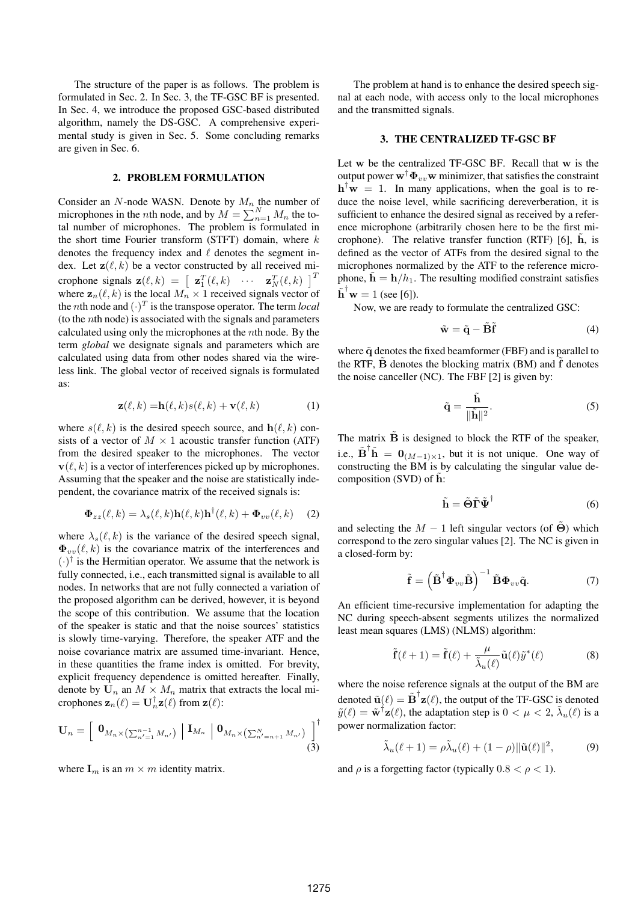The structure of the paper is as follows. The problem is formulated in Sec. 2. In Sec. 3, the TF-GSC BF is presented. In Sec. 4, we introduce the proposed GSC-based distributed algorithm, namely the DS-GSC. A comprehensive experimental study is given in Sec. 5. Some concluding remarks are given in Sec. 6.

## 2. PROBLEM FORMULATION

Consider an *N*-node WASN. Denote by  $M_n$  the number of microphones in the *n*th node, and by  $M = \sum_{n=1}^{N} M_n$  the total number of microphones. The problem is formulated in the short time Fourier transform (STFT) domain, where *k* denotes the frequency index and *ℓ* denotes the segment index. Let  $z(\ell, k)$  be a vector constructed by all received microphone signals  $\mathbf{z}(\ell, k) = \begin{bmatrix} \mathbf{z}_1^T(\ell, k) & \cdots & \mathbf{z}_N^T(\ell, k) \end{bmatrix}^T$ where  $z_n(\ell, k)$  is the local  $M_n \times 1$  received signals vector of the *n*th node and  $(\cdot)^T$  is the transpose operator. The term *local* (to the *n*th node) is associated with the signals and parameters calculated using only the microphones at the *n*th node. By the term *global* we designate signals and parameters which are calculated using data from other nodes shared via the wireless link. The global vector of received signals is formulated as:

$$
\mathbf{z}(\ell,k) = \mathbf{h}(\ell,k)s(\ell,k) + \mathbf{v}(\ell,k)
$$
 (1)

where  $s(\ell, k)$  is the desired speech source, and  $h(\ell, k)$  consists of a vector of  $M \times 1$  acoustic transfer function (ATF) from the desired speaker to the microphones. The vector  $\mathbf{v}(\ell, k)$  is a vector of interferences picked up by microphones. Assuming that the speaker and the noise are statistically independent, the covariance matrix of the received signals is:

$$
\mathbf{\Phi}_{zz}(\ell,k) = \lambda_s(\ell,k)\mathbf{h}(\ell,k)\mathbf{h}^\dagger(\ell,k) + \mathbf{\Phi}_{vv}(\ell,k) \tag{2}
$$

where  $\lambda_s(\ell, k)$  is the variance of the desired speech signal,  $\Phi_{vv}(\ell, k)$  is the covariance matrix of the interferences and  $(\cdot)$ <sup>†</sup> is the Hermitian operator. We assume that the network is fully connected, i.e., each transmitted signal is available to all nodes. In networks that are not fully connected a variation of the proposed algorithm can be derived, however, it is beyond the scope of this contribution. We assume that the location of the speaker is static and that the noise sources' statistics is slowly time-varying. Therefore, the speaker ATF and the noise covariance matrix are assumed time-invariant. Hence, in these quantities the frame index is omitted. For brevity, explicit frequency dependence is omitted hereafter. Finally, denote by  $U_n$  an  $M \times M_n$  matrix that extracts the local microphones  $\mathbf{z}_n(\ell) = \mathbf{U}_n^{\dagger} \mathbf{z}(\ell)$  from  $\mathbf{z}(\ell)$ :

$$
\mathbf{U}_{n} = \left[ \begin{array}{c} \mathbf{0}_{M_{n} \times (\sum_{n'=1}^{n-1} M_{n'})} \end{array} \right] \mathbf{I}_{M_{n}} \Big| \mathbf{0}_{M_{n} \times (\sum_{n'=n+1}^{N} M_{n'})} \Big]^\dagger \tag{3}
$$

where  $\mathbf{I}_m$  is an  $m \times m$  identity matrix.

The problem at hand is to enhance the desired speech signal at each node, with access only to the local microphones and the transmitted signals.

# 3. THE CENTRALIZED TF-GSC BF

Let **w** be the centralized TF-GSC BF. Recall that **w** is the output power  $\mathbf{w}^{\dagger} \mathbf{\Phi}_{uv} \mathbf{w}$  minimizer, that satisfies the constraint  $\mathbf{h}^{\mathsf{T}}\mathbf{w} = 1$ . In many applications, when the goal is to reduce the noise level, while sacrificing dereverberation, it is sufficient to enhance the desired signal as received by a reference microphone (arbitrarily chosen here to be the first microphone). The relative transfer function  $(RTF)$  [6],  $\hat{h}$ , is defined as the vector of ATFs from the desired signal to the microphones normalized by the ATF to the reference microphone,  $\dot{\mathbf{h}} = \mathbf{h}/h_1$ . The resulting modified constraint satisfies  $\tilde{\mathbf{h}}^{\dagger} \mathbf{w} = 1$  (see [6]).

Now, we are ready to formulate the centralized GSC:

$$
\tilde{\mathbf{w}} = \tilde{\mathbf{q}} - \tilde{\mathbf{B}} \tilde{\mathbf{f}} \tag{4}
$$

where  $\tilde{q}$  denotes the fixed beamformer (FBF) and is parallel to the RTF, **B** denotes the blocking matrix (BM) and **f** denotes the noise canceller (NC). The FBF [2] is given by:

$$
\tilde{\mathbf{q}} = \frac{\tilde{\mathbf{h}}}{\|\tilde{\mathbf{h}}\|^2}.
$$
 (5)

The matrix  $\tilde{\mathbf{B}}$  is designed to block the RTF of the speaker, i.e.,  $\mathbf{\tilde{B}}^{\dagger} \mathbf{\tilde{h}} = \mathbf{0}_{(M-1)\times 1}$ , but it is not unique. One way of constructing the BM is by calculating the singular value decomposition (SVD) of  $\tilde{h}$ :

$$
\tilde{\mathbf{h}} = \tilde{\boldsymbol{\Theta}} \tilde{\boldsymbol{\Gamma}} \tilde{\boldsymbol{\Psi}}^{\dagger} \tag{6}
$$

and selecting the  $M - 1$  left singular vectors (of  $\Theta$ ) which correspond to the zero singular values [2]. The NC is given in a closed-form by:

$$
\tilde{\mathbf{f}} = \left(\tilde{\mathbf{B}}^{\dagger} \boldsymbol{\Phi}_{vv} \tilde{\mathbf{B}}\right)^{-1} \tilde{\mathbf{B}} \boldsymbol{\Phi}_{vv} \tilde{\mathbf{q}}.
$$
 (7)

An efficient time-recursive implementation for adapting the NC during speech-absent segments utilizes the normalized least mean squares (LMS) (NLMS) algorithm:

$$
\tilde{\mathbf{f}}(\ell+1) = \tilde{\mathbf{f}}(\ell) + \frac{\mu}{\tilde{\lambda}_u(\ell)} \tilde{\mathbf{u}}(\ell) \tilde{y}^*(\ell)
$$
 (8)

where the noise reference signals at the output of the BM are denoted  $\tilde{\mathbf{u}}(\ell) = \tilde{\mathbf{B}}^{\dagger} \mathbf{z}(\ell)$ , the output of the TF-GSC is denoted  $\tilde{y}(\ell) = \tilde{\mathbf{w}}^{\dagger} \mathbf{z}(\ell)$ , the adaptation step is  $0 < \mu < 2$ ,  $\tilde{\lambda}_u(\ell)$  is a power normalization factor:

$$
\tilde{\lambda}_u(\ell+1) = \rho \tilde{\lambda}_u(\ell) + (1-\rho) ||\tilde{\mathbf{u}}(\ell)||^2, \tag{9}
$$

and  $\rho$  is a forgetting factor (typically  $0.8 < \rho < 1$ ).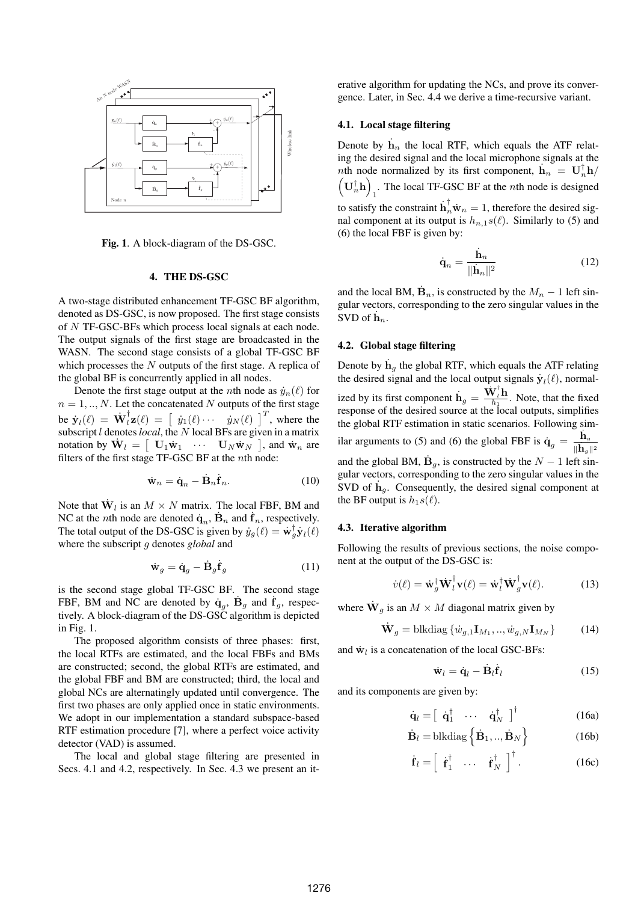

Fig. 1. A block-diagram of the DS-GSC.

# 4. THE DS-GSC

A two-stage distributed enhancement TF-GSC BF algorithm, denoted as DS-GSC, is now proposed. The first stage consists of *N* TF-GSC-BFs which process local signals at each node. The output signals of the first stage are broadcasted in the WASN. The second stage consists of a global TF-GSC BF which processes the *N* outputs of the first stage. A replica of the global BF is concurrently applied in all nodes.

Denote the first stage output at the *n*th node as  $\dot{y}_n(\ell)$  for  $n = 1, \ldots, N$ . Let the concatenated *N* outputs of the first stage be  $\dot{\mathbf{y}}_l(\ell) = \dot{\mathbf{W}}_l^{\dagger} \mathbf{z}(\ell) = \begin{bmatrix} \dot{y}_1(\ell) \cdots & \dot{y}_N(\ell) \end{bmatrix}^T$ , where the subscript *l* denotes*local*, the *N* local BFs are given in a matrix notation by  $\dot{\mathbf{W}}_l = \begin{bmatrix} \mathbf{U}_1 \dot{\mathbf{w}}_1 & \cdots & \mathbf{U}_N \dot{\mathbf{w}}_N \end{bmatrix}$ , and  $\dot{\mathbf{w}}_n$  are filters of the first stage TF-GSC BF at the *n*th node:

$$
\dot{\mathbf{w}}_n = \dot{\mathbf{q}}_n - \dot{\mathbf{B}}_n \dot{\mathbf{f}}_n. \tag{10}
$$

Note that  $\dot{\mathbf{W}}_l$  is an  $M \times N$  matrix. The local FBF, BM and NC at the *n*th node are denoted  $\dot{\mathbf{q}}_n$ ,  $\dot{\mathbf{B}}_n$  and  $\dot{\mathbf{f}}_n$ , respectively. The total output of the DS-GSC is given by  $\dot{y}_g(\ell) = \dot{\mathbf{w}}_g^{\dagger} \dot{\mathbf{y}}_l(\ell)$ where the subscript *g* denotes *global* and

$$
\dot{\mathbf{w}}_g = \dot{\mathbf{q}}_g - \dot{\mathbf{B}}_g \dot{\mathbf{f}}_g \tag{11}
$$

is the second stage global TF-GSC BF. The second stage FBF, BM and NC are denoted by  $\dot{\mathbf{q}}_g$ ,  $\dot{\mathbf{B}}_g$  and  $\dot{\mathbf{f}}_g$ , respectively. A block-diagram of the DS-GSC algorithm is depicted in Fig. 1.

The proposed algorithm consists of three phases: first, the local RTFs are estimated, and the local FBFs and BMs are constructed; second, the global RTFs are estimated, and the global FBF and BM are constructed; third, the local and global NCs are alternatingly updated until convergence. The first two phases are only applied once in static environments. We adopt in our implementation a standard subspace-based RTF estimation procedure [7], where a perfect voice activity detector (VAD) is assumed.

The local and global stage filtering are presented in Secs. 4.1 and 4.2, respectively. In Sec. 4.3 we present an iterative algorithm for updating the NCs, and prove its convergence. Later, in Sec. 4.4 we derive a time-recursive variant.

# 4.1. Local stage filtering

Denote by  $\dot{\mathbf{h}}_n$  the local RTF, which equals the ATF relating the desired signal and the local microphone signals at the *n*th node normalized by its first component,  $\mathbf{h}_n = \mathbf{U}_n^{\dagger} \mathbf{h}$ /  $\left(\mathbf{U}_{n}^{\dagger}\mathbf{h}\right)$ 1 . The local TF-GSC BF at the *n*th node is designed to satisfy the constraint  $\mathbf{h}_n^{\dagger} \dot{\mathbf{w}}_n = 1$ , therefore the desired signal component at its output is  $h_{n,1} s(\ell)$ . Similarly to (5) and (6) the local FBF is given by:

$$
\dot{\mathbf{q}}_n = \frac{\dot{\mathbf{h}}_n}{\|\dot{\mathbf{h}}_n\|^2} \tag{12}
$$

and the local BM,  $\dot{\mathbf{B}}_n$ , is constructed by the  $M_n - 1$  left singular vectors, corresponding to the zero singular values in the  $\overline{\text{SVD}}$  of  $\dot{\mathbf{h}}_n$ .

# 4.2. Global stage filtering

Denote by  $\dot{\mathbf{h}}_g$  the global RTF, which equals the ATF relating the desired signal and the local output signals  $\dot{\mathbf{y}}_l(\ell)$ , normalized by its first component  $\mathbf{h}_g = \frac{\mathbf{W}_l^{\dagger} \mathbf{h}}{h_1}$ . Note, that the fixed response of the desired source at the local outputs, simplifies the global RTF estimation in static scenarios. Following similar arguments to (5) and (6) the global FBF is  $\dot{\mathbf{q}}_g = \frac{\dot{\mathbf{h}}_g}{\dot{\mathbf{h}}_g}$ *∥* ˙**h***g∥*<sup>2</sup> and the global BM,  $\dot{\mathbf{B}}_g$ , is constructed by the  $N-1$  left singular vectors, corresponding to the zero singular values in the SVD of  $\mathbf{h}_g$ . Consequently, the desired signal component at the BF output is  $h_1s(\ell)$ .

#### 4.3. Iterative algorithm

Following the results of previous sections, the noise component at the output of the DS-GSC is:

$$
\dot{v}(\ell) = \dot{\mathbf{w}}_g^{\dagger} \dot{\mathbf{W}}_l^{\dagger} \mathbf{v}(\ell) = \dot{\mathbf{w}}_l^{\dagger} \dot{\mathbf{W}}_g^{\dagger} \mathbf{v}(\ell). \tag{13}
$$

where  $\dot{\mathbf{W}}_g$  is an  $M \times M$  diagonal matrix given by

$$
\dot{\mathbf{W}}_{g} = \text{blkdiag}\left\{\dot{w}_{g,1}\mathbf{I}_{M_1},..,\dot{w}_{g,N}\mathbf{I}_{M_N}\right\} \tag{14}
$$

and  $\dot{\mathbf{w}}_l$  is a concatenation of the local GSC-BFs:

$$
\dot{\mathbf{w}}_l = \dot{\mathbf{q}}_l - \dot{\mathbf{B}}_l \dot{\mathbf{f}}_l \tag{15}
$$

and its components are given by:

$$
\dot{\mathbf{q}}_l = \begin{bmatrix} \dot{\mathbf{q}}_1^\dagger & \cdots & \dot{\mathbf{q}}_N^\dagger \end{bmatrix}^\dagger
$$
 (16a)

$$
\dot{\mathbf{B}}_l = \text{blkdiag}\left\{\dot{\mathbf{B}}_1, ..., \dot{\mathbf{B}}_N\right\} \tag{16b}
$$

$$
\dot{\mathbf{f}}_l = \left[ \begin{array}{ccc} \dot{\mathbf{f}}_1^\dagger & \cdots & \dot{\mathbf{f}}_N^\dagger \end{array} \right]^\dagger. \tag{16c}
$$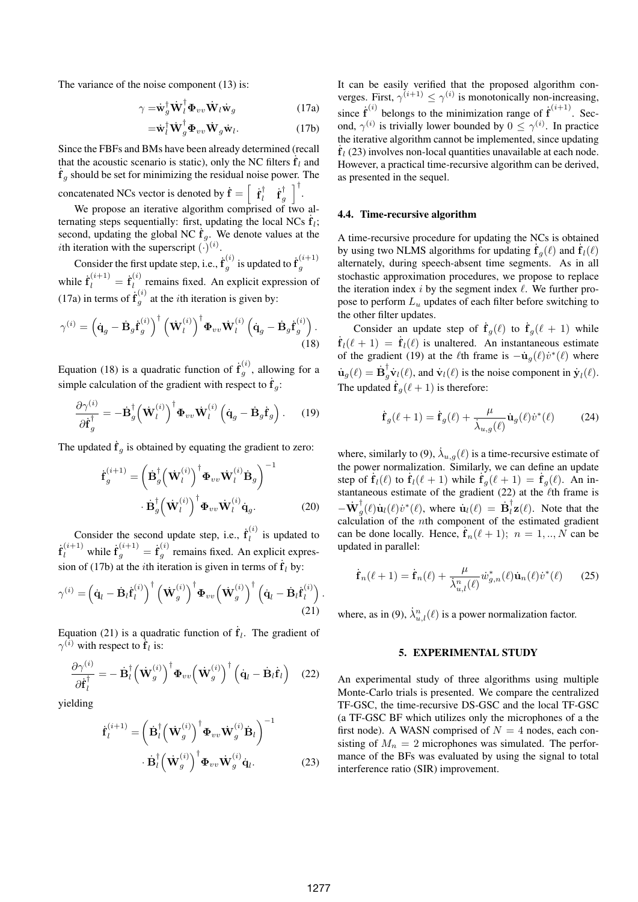The variance of the noise component (13) is:

$$
\gamma = \dot{\mathbf{w}}_g^\dagger \dot{\mathbf{W}}_l^\dagger \boldsymbol{\Phi}_{vv} \dot{\mathbf{W}}_l \dot{\mathbf{w}}_g \tag{17a}
$$

$$
= \dot{\mathbf{w}}_l^{\dagger} \dot{\mathbf{W}}_g^{\dagger} \boldsymbol{\Phi}_{vv} \dot{\mathbf{W}}_g \dot{\mathbf{w}}_l. \tag{17b}
$$

Since the FBFs and BMs have been already determined (recall that the acoustic scenario is static), only the NC filters  $\dot{\mathbf{f}}_l$  and ˙ **f** *<sup>g</sup>* should be set for minimizing the residual noise power. The concatenated NCs vector is denoted by  $\dot{\mathbf{f}} = \begin{bmatrix} \dot{\mathbf{f}}_l^{\dagger} & \dot{\mathbf{f}}_g^{\dagger} \end{bmatrix}$ ]*†* .

We propose an iterative algorithm comprised of two alternating steps sequentially: first, updating the local NCs  $\dot{\mathbf{f}}_l$ ; second, updating the global NC  $\dot{\mathbf{f}}_g$ . We denote values at the *i*th iteration with the superscript  $(\cdot)^{(i)}$ .

Consider the first update step, i.e.,  $\dot{\mathbf{f}}_a^{(i)}$  $g^{(i)}_g$  is updated to  $\dot{\mathbf{f}}_g^{(i+1)}$ *g* while  $\dot{\mathbf{f}}_l^{(i+1)} = \dot{\mathbf{f}}_l^{(i)}$  $l_l^{\text{eq}}$  remains fixed. An explicit expression of (17a) in terms of  $\dot{\mathbf{f}}_q^{(i)}$  $g^{(v)}$  at the *i*th iteration is given by:

$$
\gamma^{(i)} = \left(\dot{\mathbf{q}}_g - \dot{\mathbf{B}}_g \dot{\mathbf{f}}_g^{(i)}\right)^{\dagger} \left(\dot{\mathbf{W}}_l^{(i)}\right)^{\dagger} \boldsymbol{\Phi}_{vv} \dot{\mathbf{W}}_l^{(i)} \left(\dot{\mathbf{q}}_g - \dot{\mathbf{B}}_g \dot{\mathbf{f}}_g^{(i)}\right). \tag{18}
$$

Equation (18) is a quadratic function of  $\dot{\mathbf{f}}_q^{(i)}$  $g^{(v)}$ , allowing for a simple calculation of the gradient with respect to  $\dot{\mathbf{f}}_g$ :

$$
\frac{\partial \gamma^{(i)}}{\partial \dot{\mathbf{f}}_g^{\dagger}} = -\dot{\mathbf{B}}_g^{\dagger} \left(\dot{\mathbf{W}}_l^{(i)}\right)^{\dagger} \boldsymbol{\Phi}_{vv} \dot{\mathbf{W}}_l^{(i)} \left(\dot{\mathbf{q}}_g - \dot{\mathbf{B}}_g \dot{\mathbf{f}}_g\right). \tag{19}
$$

The updated  $\dot{\mathbf{f}}_g$  is obtained by equating the gradient to zero:

$$
\dot{\mathbf{f}}_{g}^{(i+1)} = \left(\dot{\mathbf{B}}_{g}^{\dagger} \left(\dot{\mathbf{W}}_{l}^{(i)}\right)^{\dagger} \boldsymbol{\Phi}_{vv} \dot{\mathbf{W}}_{l}^{(i)} \dot{\mathbf{B}}_{g}\right)^{-1} \cdot \dot{\mathbf{B}}_{g}^{\dagger} \left(\dot{\mathbf{W}}_{l}^{(i)}\right)^{\dagger} \boldsymbol{\Phi}_{vv} \dot{\mathbf{W}}_{l}^{(i)} \dot{\mathbf{q}}_{g}.
$$
\n(20)

Consider the second update step, i.e.,  $\dot{\mathbf{f}}_l^{(i)}$  $\sum_{l}$  is updated to  $\dot{\mathbf{f}}_l^{(i+1)}$  while  $\dot{\mathbf{f}}_g^{(i+1)} = \dot{\mathbf{f}}_g^{(i)}$  $g^{\text{(0)}}$  remains fixed. An explicit expression of (17b) at the *i*th iteration is given in terms of  $\dot{\mathbf{f}}_l$  by:

$$
\gamma^{(i)} = \left(\dot{\mathbf{q}}_l - \dot{\mathbf{B}}_l \dot{\mathbf{f}}_l^{(i)}\right)^{\dagger} \left(\dot{\mathbf{W}}_g^{(i)}\right)^{\dagger} \boldsymbol{\Phi}_{vv} \left(\dot{\mathbf{W}}_g^{(i)}\right)^{\dagger} \left(\dot{\mathbf{q}}_l - \dot{\mathbf{B}}_l \dot{\mathbf{f}}_l^{(i)}\right).
$$
\n(21)

Equation (21) is a quadratic function of  $\dot{\mathbf{f}}_l$ . The gradient of  $\gamma^{(i)}$  with respect to  $\mathbf{\dot{f}}_l$  is:

$$
\frac{\partial \gamma^{(i)}}{\partial \dot{\mathbf{f}}_l^{\dagger}} = -\dot{\mathbf{B}}_l^{\dagger} \left(\dot{\mathbf{W}}_g^{(i)}\right)^{\dagger} \boldsymbol{\Phi}_{vv} \left(\dot{\mathbf{W}}_g^{(i)}\right)^{\dagger} \left(\dot{\mathbf{q}}_l - \dot{\mathbf{B}}_l \dot{\mathbf{f}}_l\right) \quad (22)
$$

yielding

$$
\dot{\mathbf{f}}_l^{(i+1)} = \left(\dot{\mathbf{B}}_l^{\dagger} \left(\dot{\mathbf{W}}_g^{(i)}\right)^{\dagger} \boldsymbol{\Phi}_{vv} \dot{\mathbf{W}}_g^{(i)} \dot{\mathbf{B}}_l\right)^{-1} \cdot \dot{\mathbf{B}}_l^{\dagger} \left(\dot{\mathbf{W}}_g^{(i)}\right)^{\dagger} \boldsymbol{\Phi}_{vv} \dot{\mathbf{W}}_g^{(i)} \dot{\mathbf{q}}_l. \tag{23}
$$

It can be easily verified that the proposed algorithm converges. First,  $\gamma^{(i+1)} \leq \gamma^{(i)}$  is monotonically non-increasing, since  $\dot{\mathbf{f}}^{(i)}$  belongs to the minimization range of  $\dot{\mathbf{f}}^{(i+1)}$ . Second,  $\gamma^{(i)}$  is trivially lower bounded by  $0 \leq \gamma^{(i)}$ . In practice the iterative algorithm cannot be implemented, since updating  $\dot{\mathbf{f}}_l$  (23) involves non-local quantities unavailable at each node. However, a practical time-recursive algorithm can be derived, as presented in the sequel.

## 4.4. Time-recursive algorithm

A time-recursive procedure for updating the NCs is obtained by using two NLMS algorithms for updating  $\dot{\mathbf{f}}_g(\ell)$  and  $\dot{\mathbf{f}}_l(\ell)$ alternately, during speech-absent time segments. As in all stochastic approximation procedures, we propose to replace the iteration index *i* by the segment index *ℓ*. We further propose to perform *L<sup>u</sup>* updates of each filter before switching to the other filter updates.

Consider an update step of  $\dot{\mathbf{f}}_g(\ell)$  to  $\dot{\mathbf{f}}_g(\ell+1)$  while  $\dot{\mathbf{f}}_l(\ell+1) = \dot{\mathbf{f}}_l(\ell)$  is unaltered. An instantaneous estimate of the gradient (19) at the  $\ell$ th frame is  $-\dot{u}_g(\ell)\dot{v}^*(\ell)$  where  $\dot{\mathbf{u}}_g(\ell) = \dot{\mathbf{B}}_g^{\dagger} \dot{\mathbf{v}}_l(\ell)$ , and  $\dot{\mathbf{v}}_l(\ell)$  is the noise component in  $\dot{\mathbf{y}}_l(\ell)$ . The updated  $\dot{\mathbf{f}}_g(\ell+1)$  is therefore:

$$
\dot{\mathbf{f}}_g(\ell+1) = \dot{\mathbf{f}}_g(\ell) + \frac{\mu}{\dot{\lambda}_{u,g}(\ell)} \dot{\mathbf{u}}_g(\ell) \dot{v}^*(\ell) \tag{24}
$$

where, similarly to (9),  $\dot{\lambda}_{u,g}(\ell)$  is a time-recursive estimate of the power normalization. Similarly, we can define an update step of  $\dot{\mathbf{f}}_l(\ell)$  to  $\dot{\mathbf{f}}_l(\ell+1)$  while  $\dot{\mathbf{f}}_g(\ell+1) = \dot{\mathbf{f}}_g(\ell)$ . An instantaneous estimate of the gradient (22) at the *ℓ*th frame is  $-\dot{W}_g^{\dagger}(\ell)\dot{u}_l(\ell)\dot{v}^*(\ell)$ , where  $\dot{u}_l(\ell) = \dot{B}_l^{\dagger}z(\ell)$ . Note that the calculation of the *n*th component of the estimated gradient can be done locally. Hence,  $\dot{\mathbf{f}}_n(\ell+1)$ ;  $n = 1,..,N$  can be updated in parallel:

$$
\dot{\mathbf{f}}_n(\ell+1) = \dot{\mathbf{f}}_n(\ell) + \frac{\mu}{\dot{\lambda}_{u,l}^n(\ell)} \dot{w}_{g,n}^*(\ell) \dot{\mathbf{u}}_n(\ell) \dot{v}^*(\ell) \qquad (25)
$$

where, as in (9),  $\dot{\lambda}_{u,l}^n(\ell)$  is a power normalization factor.

# 5. EXPERIMENTAL STUDY

An experimental study of three algorithms using multiple Monte-Carlo trials is presented. We compare the centralized TF-GSC, the time-recursive DS-GSC and the local TF-GSC (a TF-GSC BF which utilizes only the microphones of a the first node). A WASN comprised of  $N = 4$  nodes, each consisting of  $M_n = 2$  microphones was simulated. The performance of the BFs was evaluated by using the signal to total interference ratio (SIR) improvement.